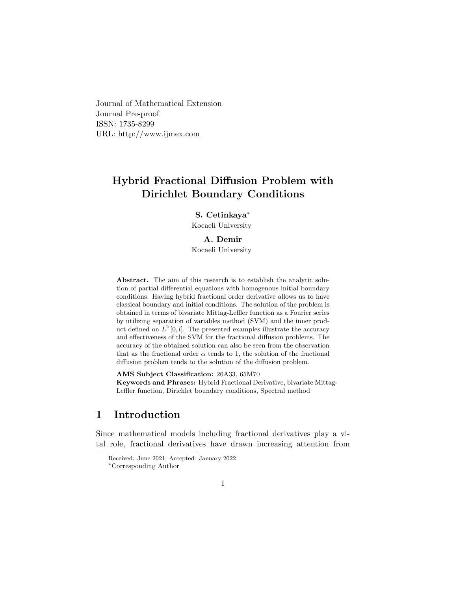Journal of Mathematical Extension Journal Pre-proof ISSN: 1735-8299 URL: http://www.ijmex.com

# Hybrid Fractional Diffusion Problem with Dirichlet Boundary Conditions

S. Cetinkaya[∗](#page-0-0) Kocaeli University

#### A. Demir

Kocaeli University

Abstract. The aim of this research is to establish the analytic solution of partial differential equations with homogenous initial boundary conditions. Having hybrid fractional order derivative allows us to have classical boundary and initial conditions. The solution of the problem is obtained in terms of bivariate Mittag-Leffler function as a Fourier series by utilizing separation of variables method (SVM) and the inner product defined on  $L^2[0, l]$ . The presented examples illustrate the accuracy and effectiveness of the SVM for the fractional diffusion problems. The accuracy of the obtained solution can also be seen from the observation that as the fractional order  $\alpha$  tends to 1, the solution of the fractional diffusion problem tends to the solution of the diffusion problem.

AMS Subject Classification: 26A33, 65M70 Keywords and Phrases: Hybrid Fractional Derivative, bivariate Mittag-Leffler function, Dirichlet boundary conditions, Spectral method

# 1 Introduction

Since mathematical models including fractional derivatives play a vital role, fractional derivatives have drawn increasing attention from

<span id="page-0-0"></span>Received: June 2021; Accepted: January 2022 <sup>∗</sup>Corresponding Author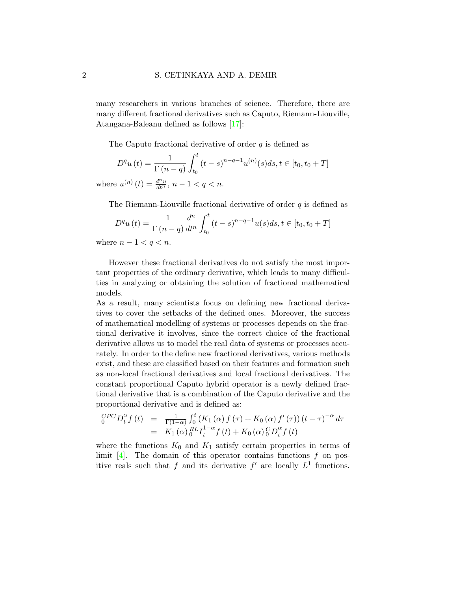many researchers in various branches of science. Therefore, there are many different fractional derivatives such as Caputo, Riemann-Liouville, Atangana-Baleanu defined as follows [\[17\]](#page-13-0):

<span id="page-1-0"></span>The Caputo fractional derivative of order  $q$  is defined as

$$
D^{q}u(t) = \frac{1}{\Gamma(n-q)} \int_{t_0}^{t} (t-s)^{n-q-1} u^{(n)}(s) ds, t \in [t_0, t_0 + T]
$$
  
where  $u^{(n)}(t) = \frac{d^{n}u}{dt^{n}}, n-1 < q < n$ .

The Riemann-Liouville fractional derivative of order  $q$  is defined as

$$
D^{q}u(t) = \frac{1}{\Gamma(n-q)} \frac{d^{n}}{dt^{n}} \int_{t_{0}}^{t} (t-s)^{n-q-1} u(s) ds, t \in [t_{0}, t_{0} + T]
$$

where  $n-1 < q < n$ .

However these fractional derivatives do not satisfy the most important properties of the ordinary derivative, which leads to many difficulties in analyzing or obtaining the solution of fractional mathematical models.

As a result, many scientists focus on defining new fractional derivatives to cover the setbacks of the defined ones. Moreover, the success of mathematical modelling of systems or processes depends on the fractional derivative it involves, since the correct choice of the fractional derivative allows us to model the real data of systems or processes accurately. In order to the define new fractional derivatives, various methods exist, and these are classified based on their features and formation such as non-local fractional derivatives and local fractional derivatives. The constant proportional Caputo hybrid operator is a newly defined fractional derivative that is a combination of the Caputo derivative and the proportional derivative and is defined as:

$$
{}_{0}^{CPC}D_{t}^{\alpha}f(t) = \frac{1}{\Gamma(1-\alpha)} \int_{0}^{t} (K_{1}(\alpha) f(\tau) + K_{0}(\alpha) f'(\tau)) (t-\tau)^{-\alpha} d\tau
$$
  
=  $K_{1}(\alpha) {}_{0}^{RL}I_{t}^{1-\alpha} f(t) + K_{0}(\alpha) {}_{0}^{C}D_{t}^{\alpha} f(t)$ 

where the functions  $K_0$  and  $K_1$  satisfy certain properties in terms of limit  $[4]$ . The domain of this operator contains functions f on positive reals such that f and its derivative  $f'$  are locally  $L^1$  functions.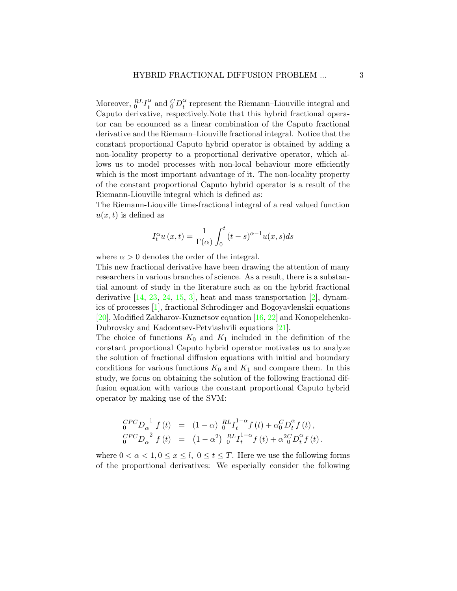Moreover,  ${}_{0}^{RL}I_t^{\alpha}$  $_t^\alpha$  and  $_O^CD_t^\alpha$  $\frac{a}{t}$  represent the Riemann–Liouville integral and Caputo derivative, respectively.Note that this hybrid fractional operator can be enounced as a linear combination of the Caputo fractional derivative and the Riemann–Liouville fractional integral. Notice that the constant proportional Caputo hybrid operator is obtained by adding a non-locality property to a proportional derivative operator, which allows us to model processes with non-local behaviour more efficiently which is the most important advantage of it. The non-locality property of the constant proportional Caputo hybrid operator is a result of the Riemann-Liouville integral which is defined as:

The Riemann-Liouville time-fractional integral of a real valued function  $u(x, t)$  is defined as

$$
I_t^{\alpha}u(x,t) = \frac{1}{\Gamma(\alpha)} \int_0^t (t-s)^{\alpha-1} u(x,s)ds
$$

where  $\alpha > 0$  denotes the order of the integral.

This new fractional derivative have been drawing the attention of many researchers in various branches of science. As a result, there is a substantial amount of study in the literature such as on the hybrid fractional derivative  $[14, 23, 24, 15, 3]$  $[14, 23, 24, 15, 3]$  $[14, 23, 24, 15, 3]$  $[14, 23, 24, 15, 3]$  $[14, 23, 24, 15, 3]$  $[14, 23, 24, 15, 3]$  $[14, 23, 24, 15, 3]$  $[14, 23, 24, 15, 3]$ , heat and mass transportation  $[2]$ , dynamics of processes [\[1\]](#page-11-1), fractional Schrodinger and Bogoyavlenskii equations [\[20\]](#page-14-2), Modified Zakharov-Kuznetsov equation [\[16,](#page-13-3) [22\]](#page-14-3) and Konopelchenko-Dubrovsky and Kadomtsev-Petviashvili equations [\[21\]](#page-14-4).

The choice of functions  $K_0$  and  $K_1$  included in the definition of the constant proportional Caputo hybrid operator motivates us to analyze the solution of fractional diffusion equations with initial and boundary conditions for various functions  $K_0$  and  $K_1$  and compare them. In this study, we focus on obtaining the solution of the following fractional diffusion equation with various the constant proportional Caputo hybrid operator by making use of the SVM:

$$
{}_{0}^{CPC}D_{\alpha}^{1} f(t) = (1 - \alpha) \, {}_{0}^{RL}I_{t}^{1 - \alpha} f(t) + \alpha_{0}^{C}D_{t}^{\alpha} f(t),
$$
  

$$
{}_{0}^{CPC}D_{\alpha}^{2} f(t) = (1 - \alpha^{2}) \, {}_{0}^{RL}I_{t}^{1 - \alpha} f(t) + \alpha^{2}_{0}D_{t}^{\alpha} f(t).
$$

where  $0 < \alpha < 1, 0 \le x \le l$ ,  $0 \le t \le T$ . Here we use the following forms of the proportional derivatives: We especially consider the following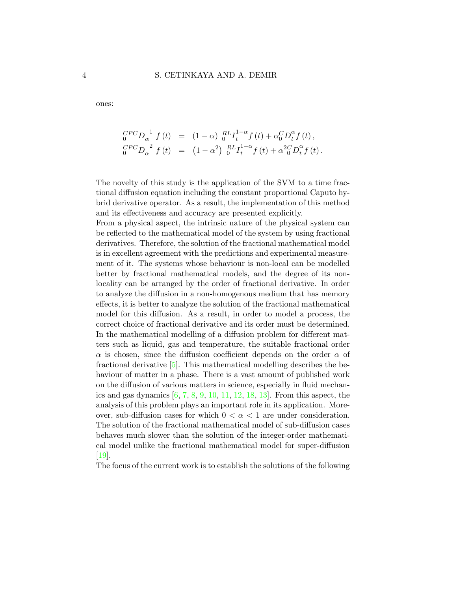ones:

$$
{}_{0}^{CPC}D_{\alpha}^{1} f(t) = (1 - \alpha) \, {}_{0}^{RL}I_{t}^{1 - \alpha} f(t) + \alpha_{0}^{C}D_{t}^{\alpha} f(t),
$$
  

$$
{}_{0}^{CPC}D_{\alpha}^{2} f(t) = (1 - \alpha^{2}) \, {}_{0}^{RL}I_{t}^{1 - \alpha} f(t) + \alpha^{2}_{0}D_{t}^{\alpha} f(t).
$$

The novelty of this study is the application of the SVM to a time fractional diffusion equation including the constant proportional Caputo hybrid derivative operator. As a result, the implementation of this method and its effectiveness and accuracy are presented explicitly.

From a physical aspect, the intrinsic nature of the physical system can be reflected to the mathematical model of the system by using fractional derivatives. Therefore, the solution of the fractional mathematical model is in excellent agreement with the predictions and experimental measurement of it. The systems whose behaviour is non-local can be modelled better by fractional mathematical models, and the degree of its nonlocality can be arranged by the order of fractional derivative. In order to analyze the diffusion in a non-homogenous medium that has memory effects, it is better to analyze the solution of the fractional mathematical model for this diffusion. As a result, in order to model a process, the correct choice of fractional derivative and its order must be determined. In the mathematical modelling of a diffusion problem for different matters such as liquid, gas and temperature, the suitable fractional order  $\alpha$  is chosen, since the diffusion coefficient depends on the order  $\alpha$  of fractional derivative [\[5\]](#page-12-2). This mathematical modelling describes the behaviour of matter in a phase. There is a vast amount of published work on the diffusion of various matters in science, especially in fluid mechanics and gas dynamics  $[6, 7, 8, 9, 10, 11, 12, 18, 13]$  $[6, 7, 8, 9, 10, 11, 12, 18, 13]$  $[6, 7, 8, 9, 10, 11, 12, 18, 13]$  $[6, 7, 8, 9, 10, 11, 12, 18, 13]$  $[6, 7, 8, 9, 10, 11, 12, 18, 13]$  $[6, 7, 8, 9, 10, 11, 12, 18, 13]$  $[6, 7, 8, 9, 10, 11, 12, 18, 13]$  $[6, 7, 8, 9, 10, 11, 12, 18, 13]$  $[6, 7, 8, 9, 10, 11, 12, 18, 13]$  $[6, 7, 8, 9, 10, 11, 12, 18, 13]$  $[6, 7, 8, 9, 10, 11, 12, 18, 13]$  $[6, 7, 8, 9, 10, 11, 12, 18, 13]$  $[6, 7, 8, 9, 10, 11, 12, 18, 13]$  $[6, 7, 8, 9, 10, 11, 12, 18, 13]$  $[6, 7, 8, 9, 10, 11, 12, 18, 13]$  $[6, 7, 8, 9, 10, 11, 12, 18, 13]$ . From this aspect, the analysis of this problem plays an important role in its application. Moreover, sub-diffusion cases for which  $0 < \alpha < 1$  are under consideration. The solution of the fractional mathematical model of sub-diffusion cases behaves much slower than the solution of the integer-order mathematical model unlike the fractional mathematical model for super-diffusion [\[19\]](#page-13-8).

The focus of the current work is to establish the solutions of the following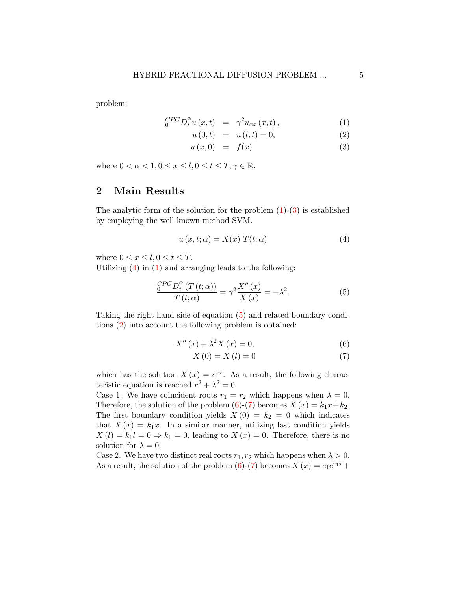problem:

$$
{}_{0}^{CPC}D_{t}^{\alpha}u(x,t) = \gamma^{2}u_{xx}(x,t), \qquad (1)
$$

$$
u(0,t) = u(l,t) = 0,
$$
\n(2)

$$
u(x,0) = f(x) \tag{3}
$$

where  $0 < \alpha < 1, 0 \leq x \leq l, 0 \leq t \leq T, \gamma \in \mathbb{R}$ .

### 2 Main Results

The analytic form of the solution for the problem  $(1)-(3)$  $(1)-(3)$  is established by employing the well known method SVM.

<span id="page-4-0"></span>
$$
u(x, t; \alpha) = X(x) T(t; \alpha)
$$
\n<sup>(4)</sup>

where  $0 \leq x \leq l, 0 \leq t \leq T$ .

Utilizing  $(4)$  in  $(1)$  and arranging leads to the following:

<span id="page-4-1"></span>
$$
\frac{{}_0^{CPC}D_t^{\alpha}(T(t;\alpha))}{T(t;\alpha)} = \gamma^2 \frac{X''(x)}{X(x)} = -\lambda^2.
$$
\n(5)

Taking the right hand side of equation [\(5\)](#page-4-1) and related boundary conditions [\(2\)](#page-1-0) into account the following problem is obtained:

<span id="page-4-2"></span>
$$
X''(x) + \lambda^2 X(x) = 0,\t\t(6)
$$

$$
X(0) = X(l) = 0\tag{7}
$$

which has the solution  $X(x) = e^{rx}$ . As a result, the following characteristic equation is reached  $r^2 + \lambda^2 = 0$ .

Case 1. We have coincident roots  $r_1 = r_2$  which happens when  $\lambda = 0$ . Therefore, the solution of the problem [\(6\)](#page-4-2)-[\(7\)](#page-4-2) becomes  $X(x) = k_1x+k_2$ . The first boundary condition yields  $X(0) = k_2 = 0$  which indicates that  $X(x) = k_1x$ . In a similar manner, utilizing last condition yields  $X(l) = k_1 l = 0 \Rightarrow k_1 = 0$ , leading to  $X(x) = 0$ . Therefore, there is no solution for  $\lambda = 0$ .

Case 2. We have two distinct real roots  $r_1, r_2$  which happens when  $\lambda > 0$ . As a result, the solution of the problem [\(6\)](#page-4-2)-[\(7\)](#page-4-2) becomes  $X(x) = c_1 e^{r_1 x} +$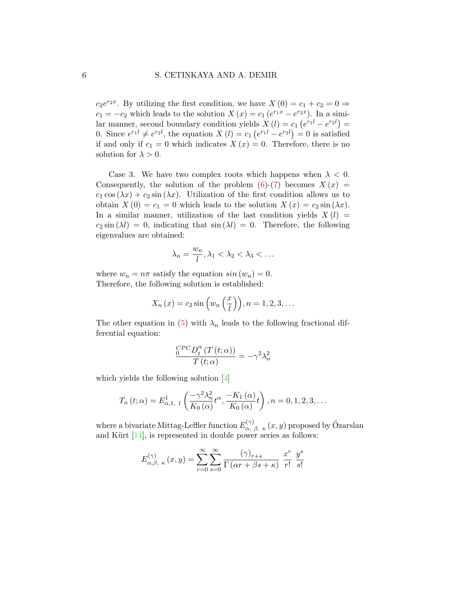$c_2e^{r_2x}$ . By utilizing the first condition, we have  $X(0) = c_1 + c_2 = 0 \Rightarrow$  $c_1 = -c_2$  which leads to the solution  $X(x) = c_1 (e^{r_1 x} - e^{r_2 x})$ . In a similar manner, second boundary condition yields  $X(l) = c_1 (e^{r_1 l} - e^{r_2 l}) =$ 0. Since  $e^{r_1 l} \neq e^{r_2 l}$ , the equation  $X(l) = c_1 (e^{r_1 l} - e^{r_2 l}) = 0$  is satisfied if and only if  $c_1 = 0$  which indicates  $X(x) = 0$ . Therefore, there is no solution for  $\lambda > 0$ .

Case 3. We have two complex roots which happens when  $\lambda < 0$ . Consequently, the solution of the problem  $(6)-(7)$  $(6)-(7)$  becomes  $X(x) =$  $c_1 \cos(\lambda x) + c_2 \sin(\lambda x)$ . Utilization of the first condition allows us to obtain  $X(0) = c_1 = 0$  which leads to the solution  $X(x) = c_2 \sin(\lambda x)$ . In a similar manner, utilization of the last condition yields  $X(l)$  =  $c_2 \sin (\lambda l) = 0$ , indicating that  $\sin (\lambda l) = 0$ . Therefore, the following eigenvalues are obtained:

<span id="page-5-0"></span>
$$
\lambda_n = \frac{w_n}{l}, \lambda_1 < \lambda_2 < \lambda_3 < \dots
$$

where  $w_n = n\pi$  satisfy the equation  $sin(w_n) = 0$ . Therefore, the following solution is established:

$$
X_n(x) = c_2 \sin \left(w_n\left(\frac{x}{l}\right)\right), n = 1, 2, 3, \dots
$$

The other equation in [\(5\)](#page-4-1) with  $\lambda_n$  leads to the following fractional differential equation:

$$
\frac{{}_0^{CPC}D_t^{\alpha} (T\left(t;\alpha\right))}{T\left(t;\alpha\right)} = -\gamma^2 \lambda_n^2
$$

which yields the following solution [\[4\]](#page-12-0)

$$
T_n(t; \alpha) = E_{\alpha, 1, 1}^1\left(\frac{-\gamma^2 \lambda_n^2}{K_0(\alpha)} t^{\alpha}, \frac{-K_1(\alpha)}{K_0(\alpha)} t\right), n = 0, 1, 2, 3, ...
$$

where a bivariate Mittag-Leffler function  $E_{\alpha, \beta, \kappa}^{(\gamma)}(x, y)$  proposed by Özarslan and Kürt  $[14]$ , is represented in double power series as follows:

$$
E_{\alpha,\beta,\ \kappa}^{(\gamma)}(x,y) = \sum_{r=0}^{\infty} \sum_{s=0}^{\infty} \frac{(\gamma)_{r+s}}{\Gamma(\alpha r + \beta s + \kappa)} \frac{x^r}{r!} \frac{y^s}{s!}
$$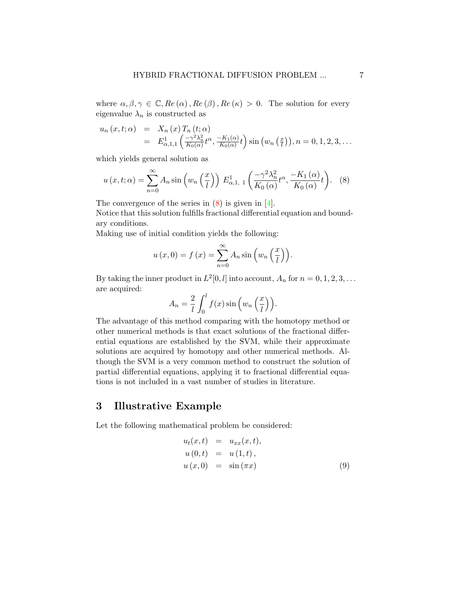where  $\alpha, \beta, \gamma \in \mathbb{C}$ ,  $Re(\alpha)$ ,  $Re(\beta)$ ,  $Re(\kappa) > 0$ . The solution for every eigenvalue  $\lambda_n$  is constructed as

$$
u_n(x,t;\alpha) = X_n(x) T_n(t;\alpha)
$$
  
=  $E_{\alpha,1,1}^1\left(\frac{-\gamma^2\lambda_n^2}{K_0(\alpha)}t^{\alpha}, \frac{-K_1(\alpha)}{K_0(\alpha)}t\right) \sin(w_n(\frac{x}{l})), n = 0, 1, 2, 3, ...$ 

which yields general solution as

$$
u(x,t;\alpha) = \sum_{n=0}^{\infty} A_n \sin\left(w_n\left(\frac{x}{l}\right)\right) E_{\alpha,1,\ 1}^1\left(\frac{-\gamma^2 \lambda_n^2}{K_0\left(\alpha\right)} t^{\alpha}, \frac{-K_1\left(\alpha\right)}{K_0\left(\alpha\right)} t\right). \tag{8}
$$

The convergence of the series in  $(8)$  is given in  $[4]$ .

Notice that this solution fulfills fractional differential equation and boundary conditions.

Making use of initial condition yields the following:

$$
u(x, 0) = f(x) = \sum_{n=0}^{\infty} A_n \sin \left( w_n \left( \frac{x}{l} \right) \right).
$$

By taking the inner product in  $L^2[0, l]$  into account,  $A_n$  for  $n = 0, 1, 2, 3, \ldots$ are acquired:

$$
A_n = \frac{2}{l} \int_0^l f(x) \sin \left( w_n \left( \frac{x}{l} \right) \right).
$$

The advantage of this method comparing with the homotopy method or other numerical methods is that exact solutions of the fractional differential equations are established by the SVM, while their approximate solutions are acquired by homotopy and other numerical methods. Although the SVM is a very common method to construct the solution of partial differential equations, applying it to fractional differential equations is not included in a vast number of studies in literature.

# 3 Illustrative Example

Let the following mathematical problem be considered:

<span id="page-6-0"></span>
$$
u_t(x,t) = u_{xx}(x,t), \n u(0,t) = u(1,t), \n u(x,0) = \sin(\pi x)
$$
\n(9)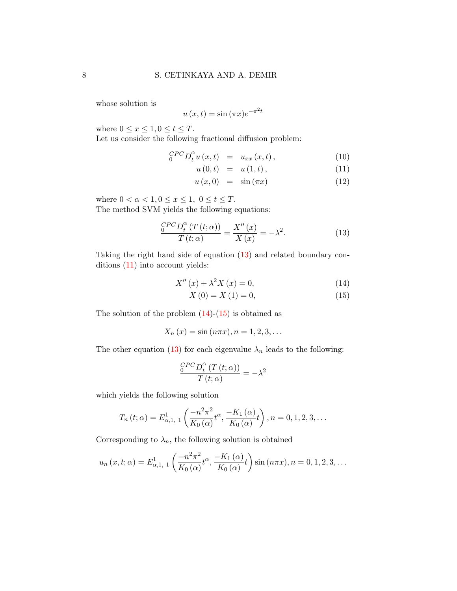whose solution is

<span id="page-7-1"></span>
$$
u(x,t) = \sin(\pi x)e^{-\pi^2 t}
$$

where  $0 \leq x \leq 1, 0 \leq t \leq T$ .

Let us consider the following fractional diffusion problem:

$$
{}_{0}^{CPC}D_{t}^{\alpha}u(x,t) = u_{xx}(x,t), \qquad (10)
$$

$$
u(0,t) = u(1,t), \t\t(11)
$$

$$
u(x,0) = \sin(\pi x) \tag{12}
$$

where  $0 < \alpha < 1, 0 \leq x \leq 1, 0 \leq t \leq T$ .

The method SVM yields the following equations:

<span id="page-7-0"></span>
$$
\frac{C^{PC}D_t^{\alpha}(T(t;\alpha))}{T(t;\alpha)} = \frac{X''(x)}{X(x)} = -\lambda^2.
$$
\n(13)

Taking the right hand side of equation [\(13\)](#page-7-0) and related boundary conditions [\(11\)](#page-7-1) into account yields:

<span id="page-7-2"></span>
$$
X''(x) + \lambda^2 X(x) = 0,
$$
\n<sup>(14)</sup>

$$
X(0) = X(1) = 0,\t(15)
$$

The solution of the problem  $(14)-(15)$  $(14)-(15)$  is obtained as

<span id="page-7-3"></span>
$$
X_n(x) = \sin(n\pi x), n = 1, 2, 3, ...
$$

The other equation [\(13\)](#page-7-0) for each eigenvalue  $\lambda_n$  leads to the following:

$$
\frac{{}_0^{CPC}D_t^{\alpha}(T(t;\alpha))}{T(t;\alpha)} = -\lambda^2
$$

which yields the following solution

$$
T_n(t; \alpha) = E_{\alpha, 1, 1}^1\left(\frac{-n^2 \pi^2}{K_0(\alpha)} t^{\alpha}, \frac{-K_1(\alpha)}{K_0(\alpha)} t\right), n = 0, 1, 2, 3, \dots
$$

Corresponding to  $\lambda_n$ , the following solution is obtained

$$
u_n(x,t;\alpha) = E_{\alpha,1,\,1}^1\left(\frac{-n^2\pi^2}{K_0(\alpha)}t^{\alpha},\frac{-K_1(\alpha)}{K_0(\alpha)}t\right)\sin(n\pi x), n = 0,1,2,3,\ldots
$$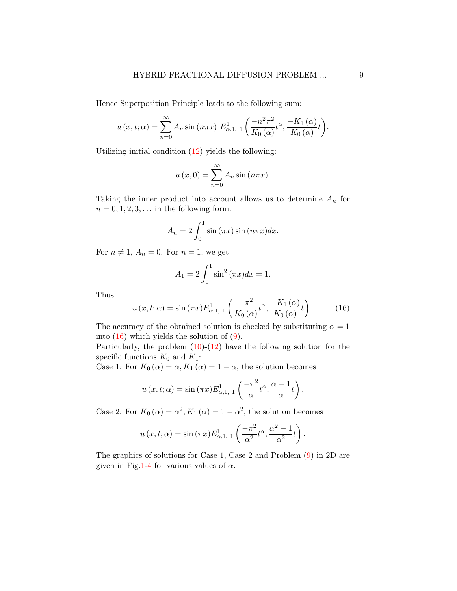Hence Superposition Principle leads to the following sum:

$$
u(x,t;\alpha) = \sum_{n=0}^{\infty} A_n \sin(n\pi x) E_{\alpha,1,1}^1\left(\frac{-n^2\pi^2}{K_0(\alpha)}t^{\alpha}, \frac{-K_1(\alpha)}{K_0(\alpha)}t\right).
$$

Utilizing initial condition  $(12)$  yields the following:

$$
u(x, 0) = \sum_{n=0}^{\infty} A_n \sin (n\pi x).
$$

Taking the inner product into account allows us to determine  $A_n$  for  $n = 0, 1, 2, 3, \ldots$  in the following form:

$$
A_n = 2 \int_0^1 \sin(\pi x) \sin(n\pi x) dx.
$$

For  $n \neq 1$ ,  $A_n = 0$ . For  $n = 1$ , we get

$$
A_1 = 2 \int_0^1 \sin^2{(\pi x)} dx = 1.
$$

Thus

$$
u(x,t;\alpha) = \sin(\pi x) E_{\alpha,1,1}^1\left(\frac{-\pi^2}{K_0(\alpha)}t^{\alpha}, \frac{-K_1(\alpha)}{K_0(\alpha)}t\right).
$$
 (16)

The accuracy of the obtained solution is checked by substituting  $\alpha = 1$ into  $(16)$  which yields the solution of  $(9)$ .

Particularly, the problem  $(10)-(12)$  $(10)-(12)$  have the following solution for the specific functions  $K_0$  and  $K_1$ :

Case 1: For  $K_0(\alpha) = \alpha, K_1(\alpha) = 1 - \alpha$ , the solution becomes

$$
u(x,t;\alpha) = \sin(\pi x) E_{\alpha,1,1}^1\left(\frac{-\pi^2}{\alpha}t^{\alpha}, \frac{\alpha-1}{\alpha}t\right).
$$

Case 2: For  $K_0(\alpha) = \alpha^2, K_1(\alpha) = 1 - \alpha^2$ , the solution becomes

$$
u(x,t;\alpha) = \sin(\pi x) E_{\alpha,1,1}^1\left(\frac{-\pi^2}{\alpha^2}t^{\alpha},\frac{\alpha^2-1}{\alpha^2}t\right).
$$

The graphics of solutions for Case 1, Case 2 and Problem [\(9\)](#page-6-0) in 2D are given in Fig[.1-](#page-9-0)[4](#page-10-0) for various values of  $\alpha$ .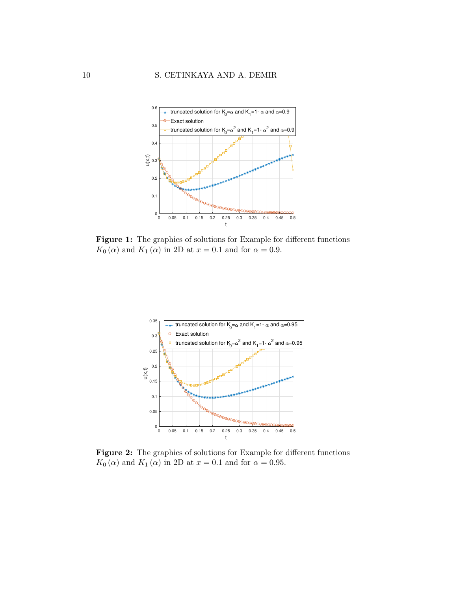<span id="page-9-0"></span>

Figure 1: The graphics of solutions for Example for different functions  $K_0(\alpha)$  and  $K_1(\alpha)$  in 2D at  $x = 0.1$  and for  $\alpha = 0.9$ .



Figure 2: The graphics of solutions for Example for different functions  $K_0(\alpha)$  and  $K_1(\alpha)$  in 2D at  $x = 0.1$  and for  $\alpha = 0.95$ .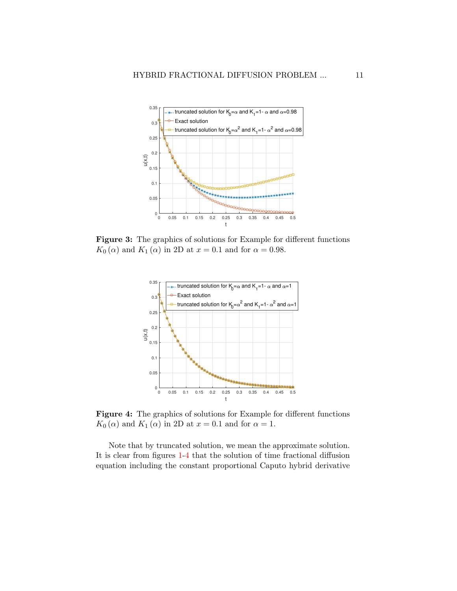

<span id="page-10-0"></span>Figure 3: The graphics of solutions for Example for different functions  $K_0(\alpha)$  and  $K_1(\alpha)$  in 2D at  $x = 0.1$  and for  $\alpha = 0.98$ .



Figure 4: The graphics of solutions for Example for different functions  $K_0(\alpha)$  and  $K_1(\alpha)$  in 2D at  $x = 0.1$  and for  $\alpha = 1$ .

Note that by truncated solution, we mean the approximate solution. It is clear from figures [1](#page-9-0)[-4](#page-10-0) that the solution of time fractional diffusion equation including the constant proportional Caputo hybrid derivative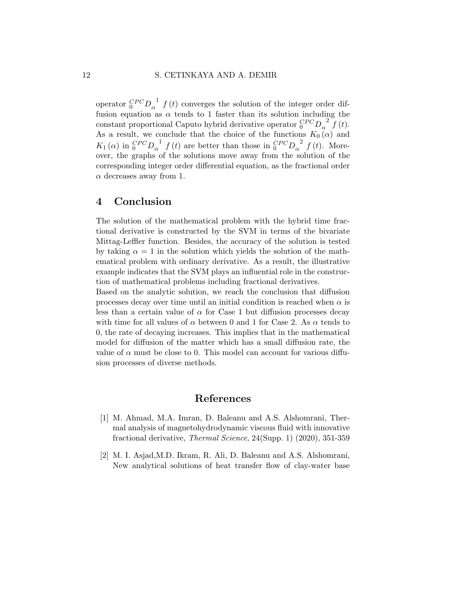operator  ${}^{CPC}_{0}D_{\alpha}^{-1} f(t)$  converges the solution of the integer order diffusion equation as  $\alpha$  tends to 1 faster than its solution including the constant proportional Caputo hybrid derivative operator  ${}_0^{CPC} D_{\alpha}^{2} f(t)$ . As a result, we conclude that the choice of the functions  $K_0(\alpha)$  and  $K_1(\alpha)$  in  ${}_0^{CPC}D_{\alpha}^{1}$   $f(t)$  are better than those in  ${}_0^{CPC}D_{\alpha}^{2}$   $f(t)$ . Moreover, the graphs of the solutions move away from the solution of the corresponding integer order differential equation, as the fractional order  $\alpha$  decreases away from 1.

## 4 Conclusion

The solution of the mathematical problem with the hybrid time fractional derivative is constructed by the SVM in terms of the bivariate Mittag-Leffler function. Besides, the accuracy of the solution is tested by taking  $\alpha = 1$  in the solution which yields the solution of the mathematical problem with ordinary derivative. As a result, the illustrative example indicates that the SVM plays an influential role in the construction of mathematical problems including fractional derivatives.

Based on the analytic solution, we reach the conclusion that diffusion processes decay over time until an initial condition is reached when  $\alpha$  is less than a certain value of  $\alpha$  for Case 1 but diffusion processes decay with time for all values of  $\alpha$  between 0 and 1 for Case 2. As  $\alpha$  tends to 0, the rate of decaying increases. This implies that in the mathematical model for diffusion of the matter which has a small diffusion rate, the value of  $\alpha$  must be close to 0. This model can account for various diffusion processes of diverse methods.

## References

- <span id="page-11-1"></span>[1] M. Ahmad, M.A. Imran, D. Baleanu and A.S. Alshomrani, Thermal analysis of magnetohydrodynamic viscous fluid with innovative fractional derivative, Thermal Science, 24(Supp. 1) (2020), 351-359
- <span id="page-11-0"></span>[2] M. I. Asjad,M.D. Ikram, R. Ali, D. Baleanu and A.S. Alshomrani, New analytical solutions of heat transfer flow of clay-water base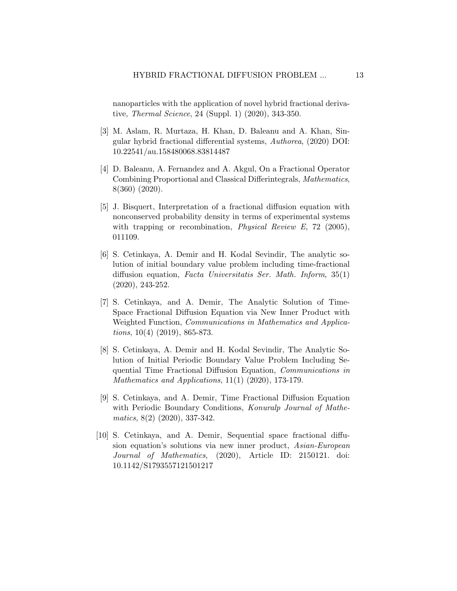nanoparticles with the application of novel hybrid fractional derivative, Thermal Science, 24 (Suppl. 1) (2020), 343-350.

- <span id="page-12-1"></span>[3] M. Aslam, R. Murtaza, H. Khan, D. Baleanu and A. Khan, Singular hybrid fractional differential systems, Authorea, (2020) DOI: 10.22541/au.158480068.83814487
- <span id="page-12-0"></span>[4] D. Baleanu, A. Fernandez and A. Akgul, On a Fractional Operator Combining Proportional and Classical Differintegrals, Mathematics, 8(360) (2020).
- <span id="page-12-2"></span>[5] J. Bisquert, Interpretation of a fractional diffusion equation with nonconserved probability density in terms of experimental systems with trapping or recombination, *Physical Review E*, 72 (2005), 011109.
- <span id="page-12-3"></span>[6] S. Cetinkaya, A. Demir and H. Kodal Sevindir, The analytic solution of initial boundary value problem including time-fractional diffusion equation, Facta Universitatis Ser. Math. Inform, 35(1) (2020), 243-252.
- <span id="page-12-4"></span>[7] S. Cetinkaya, and A. Demir, The Analytic Solution of Time-Space Fractional Diffusion Equation via New Inner Product with Weighted Function, Communications in Mathematics and Applications, 10(4) (2019), 865-873.
- <span id="page-12-5"></span>[8] S. Cetinkaya, A. Demir and H. Kodal Sevindir, The Analytic Solution of Initial Periodic Boundary Value Problem Including Sequential Time Fractional Diffusion Equation, Communications in Mathematics and Applications, 11(1) (2020), 173-179.
- <span id="page-12-6"></span>[9] S. Cetinkaya, and A. Demir, Time Fractional Diffusion Equation with Periodic Boundary Conditions, Konuralp Journal of Mathematics, 8(2) (2020), 337-342.
- <span id="page-12-7"></span>[10] S. Cetinkaya, and A. Demir, Sequential space fractional diffusion equation's solutions via new inner product, Asian-European Journal of Mathematics, (2020), Article ID: 2150121. doi: 10.1142/S1793557121501217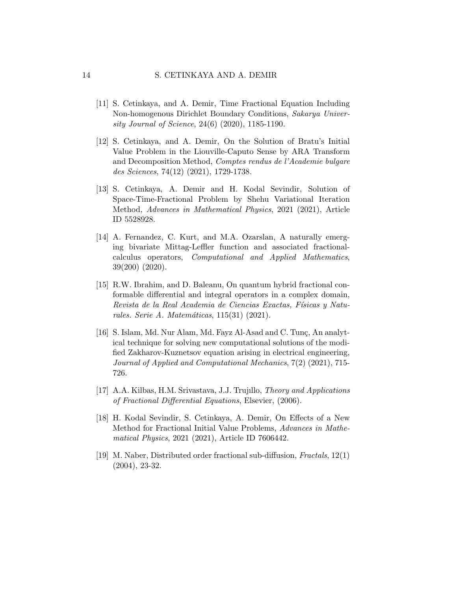- <span id="page-13-4"></span>[11] S. Cetinkaya, and A. Demir, Time Fractional Equation Including Non-homogenous Dirichlet Boundary Conditions, Sakarya University Journal of Science, 24(6) (2020), 1185-1190.
- <span id="page-13-5"></span>[12] S. Cetinkaya, and A. Demir, On the Solution of Bratu's Initial Value Problem in the Liouville-Caputo Sense by ARA Transform and Decomposition Method, Comptes rendus de l'Academie bulgare des Sciences, 74(12) (2021), 1729-1738.
- <span id="page-13-7"></span>[13] S. Cetinkaya, A. Demir and H. Kodal Sevindir, Solution of Space-Time-Fractional Problem by Shehu Variational Iteration Method, Advances in Mathematical Physics, 2021 (2021), Article ID 5528928.
- <span id="page-13-1"></span>[14] A. Fernandez, C. Kurt, and M.A. Ozarslan, A naturally emerging bivariate Mittag-Leffler function and associated fractionalcalculus operators, Computational and Applied Mathematics, 39(200) (2020).
- <span id="page-13-2"></span>[15] R.W. Ibrahim, and D. Baleanu, On quantum hybrid fractional conformable differential and integral operators in a complex domain, Revista de la Real Academia de Ciencias Exactas, Físicas y Naturales. Serie A. Matemáticas,  $115(31)$  (2021).
- <span id="page-13-3"></span>[16] S. Islam, Md. Nur Alam, Md. Fayz Al-Asad and C. Tunc, An analytical technique for solving new computational solutions of the modified Zakharov-Kuznetsov equation arising in electrical engineering, Journal of Applied and Computational Mechanics, 7(2) (2021), 715- 726.
- <span id="page-13-0"></span>[17] A.A. Kilbas, H.M. Srivastava, J.J. Trujıllo, Theory and Applications of Fractional Differential Equations, Elsevier, (2006).
- <span id="page-13-6"></span>[18] H. Kodal Sevindir, S. Cetinkaya, A. Demir, On Effects of a New Method for Fractional Initial Value Problems, Advances in Mathematical Physics, 2021 (2021), Article ID 7606442.
- <span id="page-13-8"></span>[19] M. Naber, Distributed order fractional sub-diffusion, Fractals, 12(1) (2004), 23-32.